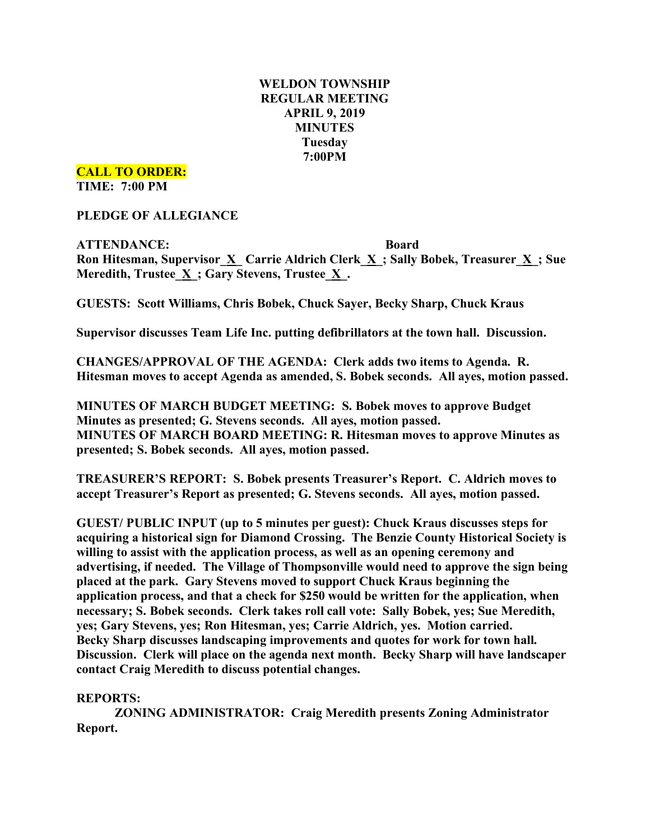# **WELDON TOWNSHIP REGULAR MEETING APRIL 9, 2019 MINUTES Tuesday 7:00PM**

**CALL TO ORDER:**

**TIME: 7:00 PM**

**PLEDGE OF ALLEGIANCE**

**ATTENDANCE: Board Ron Hitesman, Supervisor\_X\_ Carrie Aldrich Clerk\_X\_; Sally Bobek, Treasurer\_X\_; Sue Meredith, Trustee**  $\underline{X}$  **; Gary Stevens, Trustee**  $\underline{X}$ **.** 

**GUESTS: Scott Williams, Chris Bobek, Chuck Sayer, Becky Sharp, Chuck Kraus**

**Supervisor discusses Team Life Inc. putting defibrillators at the town hall. Discussion.**

**CHANGES/APPROVAL OF THE AGENDA: Clerk adds two items to Agenda. R. Hitesman moves to accept Agenda as amended, S. Bobek seconds. All ayes, motion passed.**

**MINUTES OF MARCH BUDGET MEETING: S. Bobek moves to approve Budget Minutes as presented; G. Stevens seconds. All ayes, motion passed. MINUTES OF MARCH BOARD MEETING: R. Hitesman moves to approve Minutes as presented; S. Bobek seconds. All ayes, motion passed.**

**TREASURER'S REPORT: S. Bobek presents Treasurer's Report. C. Aldrich moves to accept Treasurer's Report as presented; G. Stevens seconds. All ayes, motion passed.**

**GUEST/ PUBLIC INPUT (up to 5 minutes per guest): Chuck Kraus discusses steps for acquiring a historical sign for Diamond Crossing. The Benzie County Historical Society is willing to assist with the application process, as well as an opening ceremony and advertising, if needed. The Village of Thompsonville would need to approve the sign being placed at the park. Gary Stevens moved to support Chuck Kraus beginning the application process, and that a check for \$250 would be written for the application, when necessary; S. Bobek seconds. Clerk takes roll call vote: Sally Bobek, yes; Sue Meredith, yes; Gary Stevens, yes; Ron Hitesman, yes; Carrie Aldrich, yes. Motion carried. Becky Sharp discusses landscaping improvements and quotes for work for town hall. Discussion. Clerk will place on the agenda next month. Becky Sharp will have landscaper contact Craig Meredith to discuss potential changes.**

## **REPORTS:**

**ZONING ADMINISTRATOR: Craig Meredith presents Zoning Administrator Report.**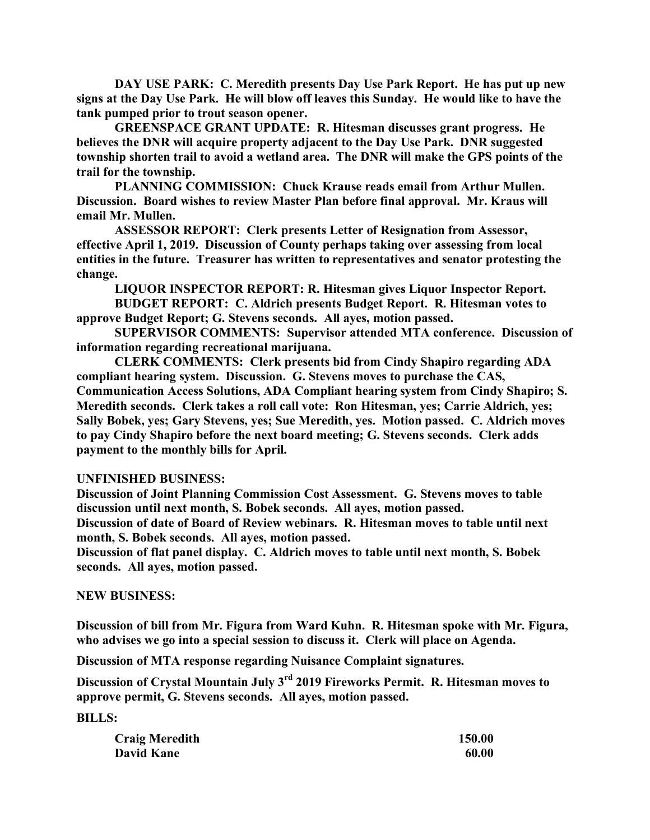**DAY USE PARK: C. Meredith presents Day Use Park Report. He has put up new signs at the Day Use Park. He will blow off leaves this Sunday. He would like to have the tank pumped prior to trout season opener.**

**GREENSPACE GRANT UPDATE: R. Hitesman discusses grant progress. He believes the DNR will acquire property adjacent to the Day Use Park. DNR suggested township shorten trail to avoid a wetland area. The DNR will make the GPS points of the trail for the township.**

**PLANNING COMMISSION: Chuck Krause reads email from Arthur Mullen. Discussion. Board wishes to review Master Plan before final approval. Mr. Kraus will email Mr. Mullen.**

**ASSESSOR REPORT: Clerk presents Letter of Resignation from Assessor, effective April 1, 2019. Discussion of County perhaps taking over assessing from local entities in the future. Treasurer has written to representatives and senator protesting the change.**

**LIQUOR INSPECTOR REPORT: R. Hitesman gives Liquor Inspector Report.**

**BUDGET REPORT: C. Aldrich presents Budget Report. R. Hitesman votes to approve Budget Report; G. Stevens seconds. All ayes, motion passed.**

**SUPERVISOR COMMENTS: Supervisor attended MTA conference. Discussion of information regarding recreational marijuana.**

**CLERK COMMENTS: Clerk presents bid from Cindy Shapiro regarding ADA compliant hearing system. Discussion. G. Stevens moves to purchase the CAS, Communication Access Solutions, ADA Compliant hearing system from Cindy Shapiro; S. Meredith seconds. Clerk takes a roll call vote: Ron Hitesman, yes; Carrie Aldrich, yes; Sally Bobek, yes; Gary Stevens, yes; Sue Meredith, yes. Motion passed. C. Aldrich moves to pay Cindy Shapiro before the next board meeting; G. Stevens seconds. Clerk adds payment to the monthly bills for April.**

### **UNFINISHED BUSINESS:**

**Discussion of Joint Planning Commission Cost Assessment. G. Stevens moves to table discussion until next month, S. Bobek seconds. All ayes, motion passed.**

**Discussion of date of Board of Review webinars. R. Hitesman moves to table until next month, S. Bobek seconds. All ayes, motion passed.**

**Discussion of flat panel display. C. Aldrich moves to table until next month, S. Bobek seconds. All ayes, motion passed.**

### **NEW BUSINESS:**

**Discussion of bill from Mr. Figura from Ward Kuhn. R. Hitesman spoke with Mr. Figura, who advises we go into a special session to discuss it. Clerk will place on Agenda.**

**Discussion of MTA response regarding Nuisance Complaint signatures.**

**Discussion of Crystal Mountain July 3rd 2019 Fireworks Permit. R. Hitesman moves to approve permit, G. Stevens seconds. All ayes, motion passed.**

**BILLS:**

| <b>Craig Meredith</b> | 150.00 |
|-----------------------|--------|
| <b>David Kane</b>     | 60.00  |